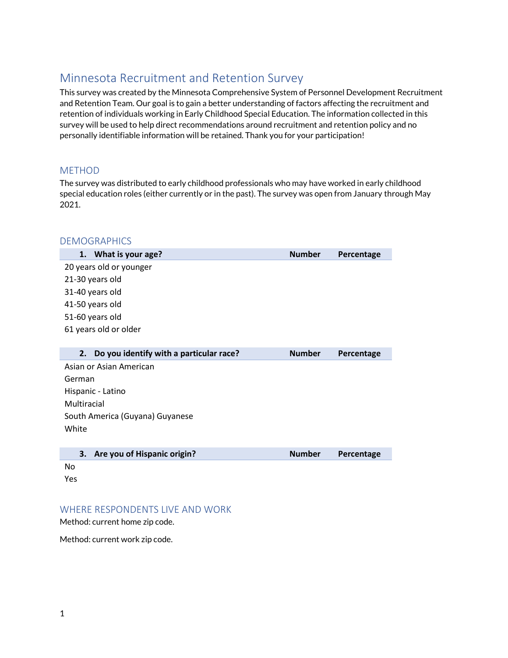# Minnesota Recruitment and Retention Survey

This survey was created by the Minnesota Comprehensive System of Personnel Development Recruitment and Retention Team. Our goal is to gain a better understanding of factors affecting the recruitment and retention of individuals working in Early Childhood Special Education. The information collected in this survey will be used to help direct recommendations around recruitment and retention policy and no personally identifiable information will be retained. Thank you for your participation!

### METHOD

The survey was distributed to early childhood professionals who may have worked in early childhood special education roles (either currently or in the past). The survey was open from January through May 2021.

| <b>DEMOGRAPHICS</b>                           |               |            |
|-----------------------------------------------|---------------|------------|
| 1. What is your age?                          | <b>Number</b> | Percentage |
| 20 years old or younger                       |               |            |
| 21-30 years old                               |               |            |
| 31-40 years old                               |               |            |
| 41-50 years old                               |               |            |
| 51-60 years old                               |               |            |
| 61 years old or older                         |               |            |
|                                               |               |            |
| Do you identify with a particular race?<br>2. | <b>Number</b> | Percentage |
| Asian or Asian American                       |               |            |
| German                                        |               |            |
| Hispanic - Latino                             |               |            |
| Multiracial                                   |               |            |
| South America (Guyana) Guyanese               |               |            |
| White                                         |               |            |
|                                               |               |            |
| Are you of Hispanic origin?<br>3.             | <b>Number</b> | Percentage |
| No                                            |               |            |
| Yes                                           |               |            |
|                                               |               |            |

#### WHERE RESPONDENTS LIVE AND WORK

Method: current home zip code.

Method: current work zip code.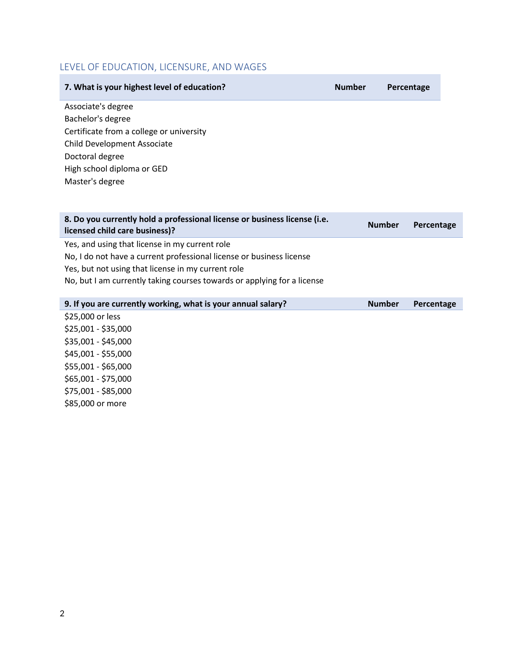### LEVEL OF EDUCATION, LICENSURE, AND WAGES

| 7. What is your highest level of education? | <b>Number</b> | Percentage |
|---------------------------------------------|---------------|------------|
| Associate's degree                          |               |            |
| Bachelor's degree                           |               |            |
| Certificate from a college or university    |               |            |
| Child Development Associate                 |               |            |
| Doctoral degree                             |               |            |
| High school diploma or GED                  |               |            |
| Master's degree                             |               |            |
|                                             |               |            |
|                                             |               |            |

| 8. Do you currently hold a professional license or business license (i.e.<br>licensed child care business)? | <b>Number</b> | Percentage |
|-------------------------------------------------------------------------------------------------------------|---------------|------------|
| Yes, and using that license in my current role                                                              |               |            |
| No, I do not have a current professional license or business license                                        |               |            |
| Yes, but not using that license in my current role                                                          |               |            |
| No, but I am currently taking courses towards or applying for a license                                     |               |            |
|                                                                                                             |               |            |
| 9. If you are currently working, what is your annual salary?                                                | <b>Number</b> | Percentage |
| \$25,000 or less                                                                                            |               |            |
| \$25,001 - \$35,000                                                                                         |               |            |
| \$35,001 - \$45,000                                                                                         |               |            |
| $A + B = 0.04$                                                                                              |               |            |

\$45,001 - \$55,000 \$55,001 - \$65,000 \$65,001 - \$75,000 \$75,001 - \$85,000 \$85,000 or more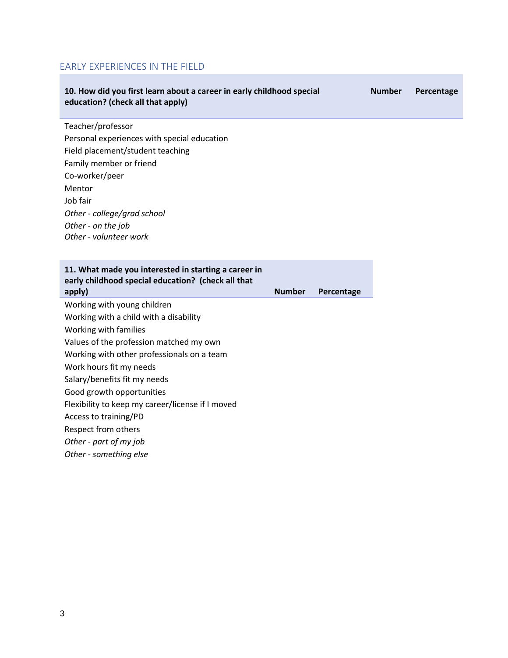## EARLY EXPERIENCES IN THE FIELD

| 10. How did you first learn about a career in early childhood special<br>education? (check all that apply)                                                                                                                                                                                                                                                                                                                              |               |            | <b>Number</b> | Percentage |
|-----------------------------------------------------------------------------------------------------------------------------------------------------------------------------------------------------------------------------------------------------------------------------------------------------------------------------------------------------------------------------------------------------------------------------------------|---------------|------------|---------------|------------|
| Teacher/professor<br>Personal experiences with special education<br>Field placement/student teaching<br>Family member or friend<br>Co-worker/peer<br>Mentor<br>Job fair<br>Other - college/grad school                                                                                                                                                                                                                                  |               |            |               |            |
| Other - on the job<br>Other - volunteer work                                                                                                                                                                                                                                                                                                                                                                                            |               |            |               |            |
| 11. What made you interested in starting a career in<br>early childhood special education? (check all that<br>apply)                                                                                                                                                                                                                                                                                                                    | <b>Number</b> | Percentage |               |            |
| Working with young children<br>Working with a child with a disability<br>Working with families<br>Values of the profession matched my own<br>Working with other professionals on a team<br>Work hours fit my needs<br>Salary/benefits fit my needs<br>Good growth opportunities<br>Flexibility to keep my career/license if I moved<br>Access to training/PD<br>Respect from others<br>Other - part of my job<br>Other - something else |               |            |               |            |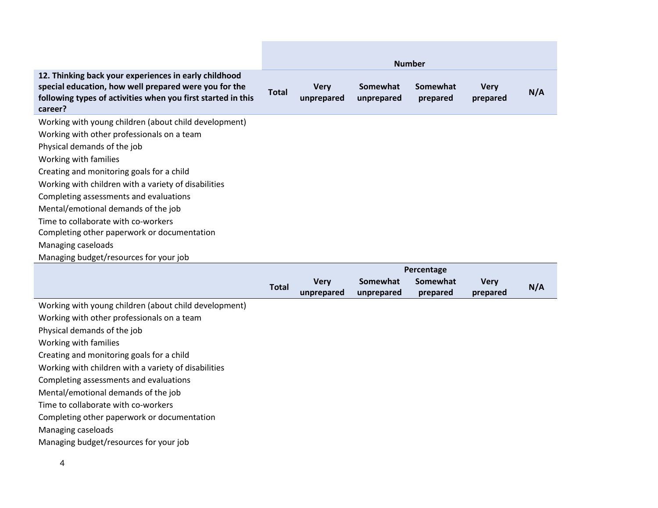|                                                                                                                                                                                           |       |                           |                        | <b>Number</b>                       |                         |     |
|-------------------------------------------------------------------------------------------------------------------------------------------------------------------------------------------|-------|---------------------------|------------------------|-------------------------------------|-------------------------|-----|
| 12. Thinking back your experiences in early childhood<br>special education, how well prepared were you for the<br>following types of activities when you first started in this<br>career? | Total | <b>Very</b><br>unprepared | Somewhat<br>unprepared | <b>Somewhat</b><br>prepared         | <b>Very</b><br>prepared | N/A |
| Working with young children (about child development)                                                                                                                                     |       |                           |                        |                                     |                         |     |
| Working with other professionals on a team                                                                                                                                                |       |                           |                        |                                     |                         |     |
| Physical demands of the job                                                                                                                                                               |       |                           |                        |                                     |                         |     |
| Working with families                                                                                                                                                                     |       |                           |                        |                                     |                         |     |
| Creating and monitoring goals for a child                                                                                                                                                 |       |                           |                        |                                     |                         |     |
| Working with children with a variety of disabilities                                                                                                                                      |       |                           |                        |                                     |                         |     |
| Completing assessments and evaluations                                                                                                                                                    |       |                           |                        |                                     |                         |     |
| Mental/emotional demands of the job                                                                                                                                                       |       |                           |                        |                                     |                         |     |
| Time to collaborate with co-workers                                                                                                                                                       |       |                           |                        |                                     |                         |     |
| Completing other paperwork or documentation                                                                                                                                               |       |                           |                        |                                     |                         |     |
| Managing caseloads                                                                                                                                                                        |       |                           |                        |                                     |                         |     |
| Managing budget/resources for your job                                                                                                                                                    |       |                           |                        |                                     |                         |     |
|                                                                                                                                                                                           |       |                           |                        | $\mathbf{R}$ and a set $\mathbf{R}$ |                         |     |

the control of the control of the control of

|                                                       |              | <b>Percentage</b>         |                        |                      |                         |     |
|-------------------------------------------------------|--------------|---------------------------|------------------------|----------------------|-------------------------|-----|
|                                                       | <b>Total</b> | <b>Very</b><br>unprepared | Somewhat<br>unprepared | Somewhat<br>prepared | <b>Very</b><br>prepared | N/A |
| Working with young children (about child development) |              |                           |                        |                      |                         |     |
| Working with other professionals on a team            |              |                           |                        |                      |                         |     |
| Physical demands of the job                           |              |                           |                        |                      |                         |     |
| Working with families                                 |              |                           |                        |                      |                         |     |
| Creating and monitoring goals for a child             |              |                           |                        |                      |                         |     |
| Working with children with a variety of disabilities  |              |                           |                        |                      |                         |     |
| Completing assessments and evaluations                |              |                           |                        |                      |                         |     |
| Mental/emotional demands of the job                   |              |                           |                        |                      |                         |     |
| Time to collaborate with co-workers                   |              |                           |                        |                      |                         |     |
| Completing other paperwork or documentation           |              |                           |                        |                      |                         |     |
| Managing caseloads                                    |              |                           |                        |                      |                         |     |
| Managing budget/resources for your job                |              |                           |                        |                      |                         |     |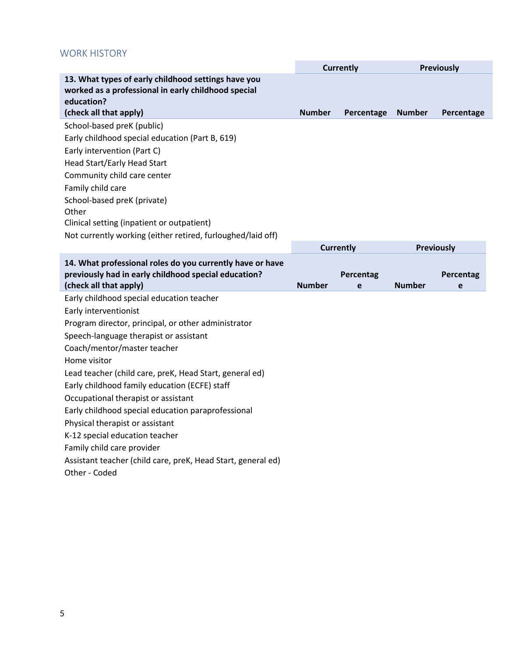### WORK HISTORY

|                                                                                                                                                    | <b>Currently</b> |                  | <b>Previously</b> |            |
|----------------------------------------------------------------------------------------------------------------------------------------------------|------------------|------------------|-------------------|------------|
| 13. What types of early childhood settings have you<br>worked as a professional in early childhood special<br>education?<br>(check all that apply) | <b>Number</b>    | Percentage       | <b>Number</b>     | Percentage |
| School-based preK (public)                                                                                                                         |                  |                  |                   |            |
| Early childhood special education (Part B, 619)                                                                                                    |                  |                  |                   |            |
| Early intervention (Part C)                                                                                                                        |                  |                  |                   |            |
| Head Start/Early Head Start                                                                                                                        |                  |                  |                   |            |
| Community child care center                                                                                                                        |                  |                  |                   |            |
| Family child care                                                                                                                                  |                  |                  |                   |            |
| School-based preK (private)                                                                                                                        |                  |                  |                   |            |
| Other                                                                                                                                              |                  |                  |                   |            |
| Clinical setting (inpatient or outpatient)                                                                                                         |                  |                  |                   |            |
| Not currently working (either retired, furloughed/laid off)                                                                                        |                  |                  |                   |            |
|                                                                                                                                                    |                  | <b>Currently</b> | <b>Previously</b> |            |
| 14. What professional roles do you currently have or have<br>previously had in early childhood special education?                                  |                  | Percentag        |                   | Percentag  |
|                                                                                                                                                    |                  |                  |                   |            |
| (check all that apply)                                                                                                                             | <b>Number</b>    | e                | <b>Number</b>     | e          |
| Early childhood special education teacher                                                                                                          |                  |                  |                   |            |
| Early interventionist                                                                                                                              |                  |                  |                   |            |
| Program director, principal, or other administrator                                                                                                |                  |                  |                   |            |
| Speech-language therapist or assistant                                                                                                             |                  |                  |                   |            |
| Coach/mentor/master teacher                                                                                                                        |                  |                  |                   |            |
| Home visitor                                                                                                                                       |                  |                  |                   |            |
| Lead teacher (child care, preK, Head Start, general ed)                                                                                            |                  |                  |                   |            |
| Early childhood family education (ECFE) staff                                                                                                      |                  |                  |                   |            |
| Occupational therapist or assistant                                                                                                                |                  |                  |                   |            |
| Early childhood special education paraprofessional                                                                                                 |                  |                  |                   |            |
| Physical therapist or assistant                                                                                                                    |                  |                  |                   |            |
| K-12 special education teacher                                                                                                                     |                  |                  |                   |            |
| Family child care provider                                                                                                                         |                  |                  |                   |            |
| Assistant teacher (child care, preK, Head Start, general ed)<br>Other - Coded                                                                      |                  |                  |                   |            |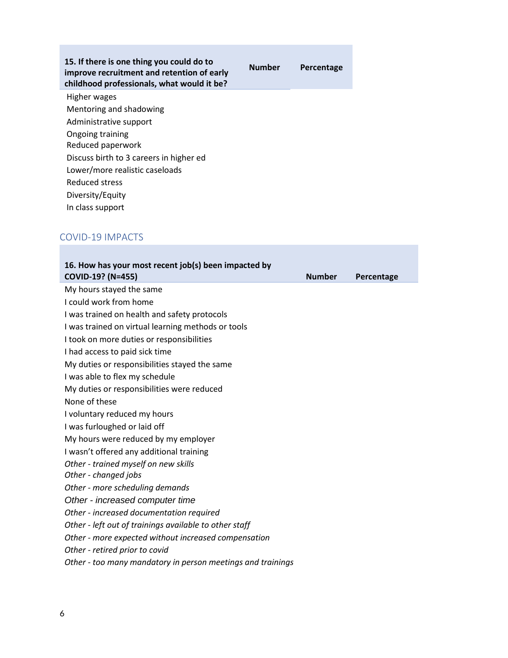#### **15. If there is one thing you could do to improve recruitment and retention of early childhood professionals, what would it be?**

Higher wages Mentoring and shadowing Administrative support Ongoing training Reduced paperwork Discuss birth to 3 careers in higher ed Lower/more realistic caseloads Reduced stress Diversity/Equity In class support

### COVID-19 IMPACTS

| 16. How has your most recent job(s) been impacted by<br>COVID-19? (N=455) | <b>Number</b> | Percentage |
|---------------------------------------------------------------------------|---------------|------------|
| My hours stayed the same                                                  |               |            |
| I could work from home                                                    |               |            |
| I was trained on health and safety protocols                              |               |            |
| I was trained on virtual learning methods or tools                        |               |            |
| I took on more duties or responsibilities                                 |               |            |
| I had access to paid sick time                                            |               |            |
| My duties or responsibilities stayed the same                             |               |            |
| I was able to flex my schedule                                            |               |            |
| My duties or responsibilities were reduced                                |               |            |
| None of these                                                             |               |            |
| I voluntary reduced my hours                                              |               |            |
| I was furloughed or laid off                                              |               |            |
| My hours were reduced by my employer                                      |               |            |
| I wasn't offered any additional training                                  |               |            |
| Other - trained myself on new skills                                      |               |            |
| Other - changed jobs                                                      |               |            |
| Other - more scheduling demands                                           |               |            |
| Other - increased computer time                                           |               |            |
| Other - increased documentation required                                  |               |            |
| Other - left out of trainings available to other staff                    |               |            |
| Other - more expected without increased compensation                      |               |            |
| Other - retired prior to covid                                            |               |            |
| Other - too many mandatory in person meetings and trainings               |               |            |

**Number Percentage**